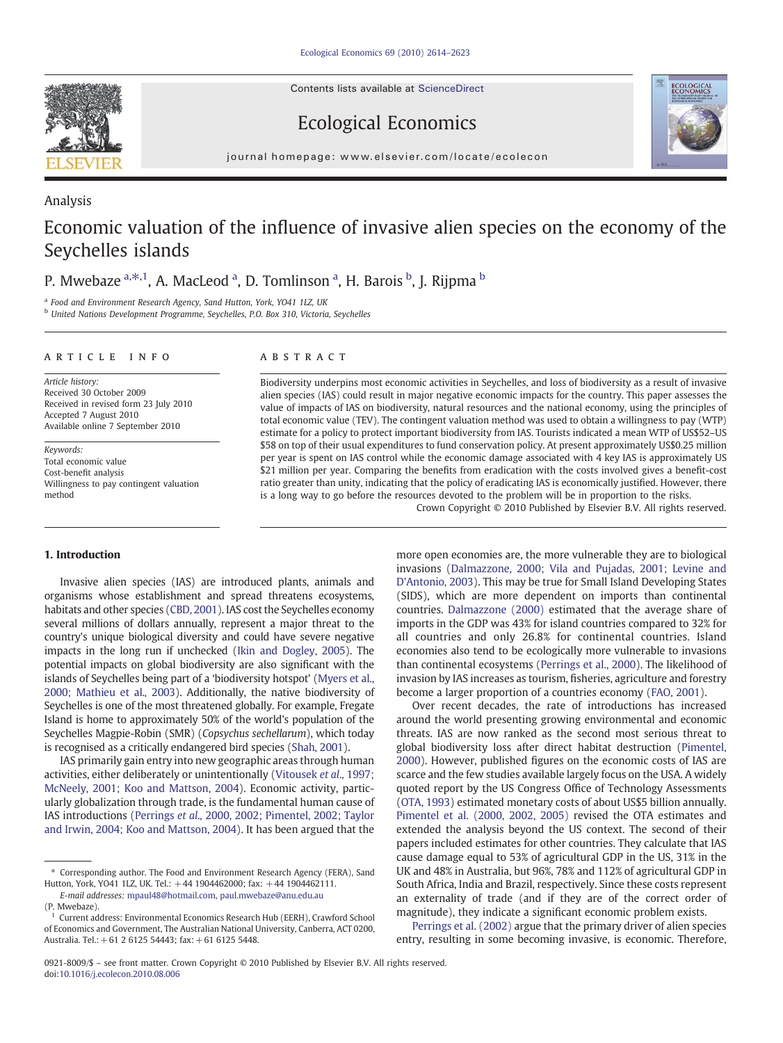Contents lists available at ScienceDirect



Ecological Economics



journal homepage: www.elsevier.com/locate/ecolecon

# Analysis Economic valuation of the influence of invasive alien species on the economy of the Seychelles islands

P. Mwebaze <sup>a, $\ast$ ,1, A. MacLeod <sup>a</sup>, D. Tomlinson <sup>a</sup>, H. Barois <sup>b</sup>, J. Rijpma <sup>b</sup></sup>

<sup>a</sup> Food and Environment Research Agency, Sand Hutton, York, YO41 1LZ, UK

<sup>b</sup> United Nations Development Programme, Seychelles, P.O. Box 310, Victoria, Seychelles

### article info abstract

Article history: Received 30 October 2009 Received in revised form 23 July 2010 Accepted 7 August 2010 Available online 7 September 2010

Keywords: Total economic value Cost-benefit analysis Willingness to pay contingent valuation method

Biodiversity underpins most economic activities in Seychelles, and loss of biodiversity as a result of invasive alien species (IAS) could result in major negative economic impacts for the country. This paper assesses the value of impacts of IAS on biodiversity, natural resources and the national economy, using the principles of total economic value (TEV). The contingent valuation method was used to obtain a willingness to pay (WTP) estimate for a policy to protect important biodiversity from IAS. Tourists indicated a mean WTP of US\$52–US \$58 on top of their usual expenditures to fund conservation policy. At present approximately US\$0.25 million per year is spent on IAS control while the economic damage associated with 4 key IAS is approximately US \$21 million per year. Comparing the benefits from eradication with the costs involved gives a benefit-cost ratio greater than unity, indicating that the policy of eradicating IAS is economically justified. However, there is a long way to go before the resources devoted to the problem will be in proportion to the risks.

# 1. Introduction

Invasive alien species (IAS) are introduced plants, animals and organisms whose establishment and spread threatens ecosystems, habitats and other species [\(CBD, 2001](#page--1-0)). IAS cost the Seychelles economy several millions of dollars annually, represent a major threat to the country's unique biological diversity and could have severe negative impacts in the long run if unchecked ([Ikin and Dogley, 2005\)](#page--1-0). The potential impacts on global biodiversity are also significant with the islands of Seychelles being part of a 'biodiversity hotspot' ([Myers et al.,](#page--1-0) [2000; Mathieu et al., 2003](#page--1-0)). Additionally, the native biodiversity of Seychelles is one of the most threatened globally. For example, Fregate Island is home to approximately 50% of the world's population of the Seychelles Magpie-Robin (SMR) (Copsychus sechellarum), which today is recognised as a critically endangered bird species [\(Shah, 2001](#page--1-0)).

IAS primarily gain entry into new geographic areas through human activities, either deliberately or unintentionally ([Vitousek](#page--1-0) et al., 1997; [McNeely, 2001; Koo and Mattson, 2004\)](#page--1-0). Economic activity, particularly globalization through trade, is the fundamental human cause of IAS introductions (Perrings et al[., 2000, 2002; Pimentel, 2002; Taylor](#page--1-0) [and Irwin, 2004; Koo and Mattson, 2004\)](#page--1-0). It has been argued that the

more open economies are, the more vulnerable they are to biological invasions [\(Dalmazzone, 2000; Vila and Pujadas, 2001; Levine and](#page--1-0) [D'Antonio, 2003](#page--1-0)). This may be true for Small Island Developing States (SIDS), which are more dependent on imports than continental countries. [Dalmazzone \(2000\)](#page--1-0) estimated that the average share of imports in the GDP was 43% for island countries compared to 32% for all countries and only 26.8% for continental countries. Island economies also tend to be ecologically more vulnerable to invasions than continental ecosystems [\(Perrings et al., 2000\)](#page--1-0). The likelihood of invasion by IAS increases as tourism, fisheries, agriculture and forestry become a larger proportion of a countries economy [\(FAO, 2001\)](#page--1-0).

Crown Copyright © 2010 Published by Elsevier B.V. All rights reserved.

Over recent decades, the rate of introductions has increased around the world presenting growing environmental and economic threats. IAS are now ranked as the second most serious threat to global biodiversity loss after direct habitat destruction ([Pimentel,](#page--1-0) [2000\)](#page--1-0). However, published figures on the economic costs of IAS are scarce and the few studies available largely focus on the USA. A widely quoted report by the US Congress Office of Technology Assessments [\(OTA, 1993](#page--1-0)) estimated monetary costs of about US\$5 billion annually. [Pimentel et al. \(2000, 2002, 2005\)](#page--1-0) revised the OTA estimates and extended the analysis beyond the US context. The second of their papers included estimates for other countries. They calculate that IAS cause damage equal to 53% of agricultural GDP in the US, 31% in the UK and 48% in Australia, but 96%, 78% and 112% of agricultural GDP in South Africa, India and Brazil, respectively. Since these costs represent an externality of trade (and if they are of the correct order of magnitude), they indicate a significant economic problem exists.

[Perrings et al. \(2002\)](#page--1-0) argue that the primary driver of alien species entry, resulting in some becoming invasive, is economic. Therefore,

<sup>⁎</sup> Corresponding author. The Food and Environment Research Agency (FERA), Sand Hutton, York, YO41 1LZ, UK. Tel.: +44 1904462000; fax: +44 1904462111.

E-mail addresses: [mpaul48@hotmail.com](mailto:mpaul48@hotmail.com), [paul.mwebaze@anu.edu.au](mailto:paul.mwebaze@anu.edu.au) (P. Mwebaze).

<sup>1</sup> Current address: Environmental Economics Research Hub (EERH), Crawford School of Economics and Government, The Australian National University, Canberra, ACT 0200, Australia. Tel.:+ 61 2 6125 54443; fax:+ 61 6125 5448.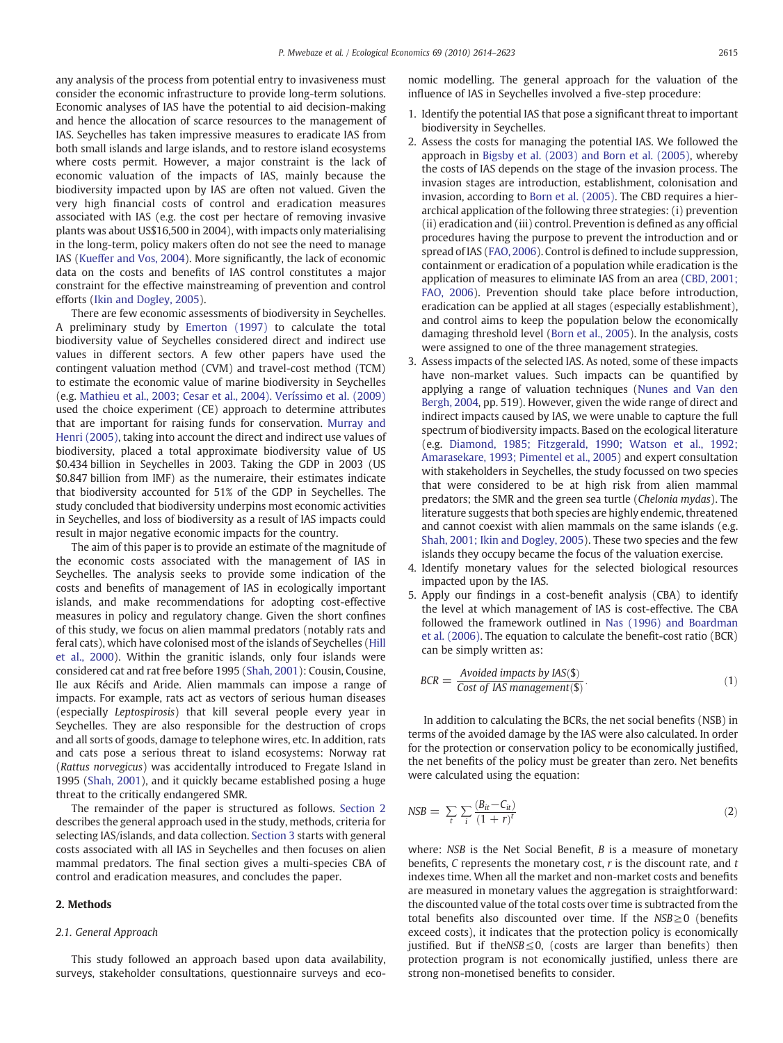any analysis of the process from potential entry to invasiveness must consider the economic infrastructure to provide long-term solutions. Economic analyses of IAS have the potential to aid decision-making and hence the allocation of scarce resources to the management of IAS. Seychelles has taken impressive measures to eradicate IAS from both small islands and large islands, and to restore island ecosystems where costs permit. However, a major constraint is the lack of economic valuation of the impacts of IAS, mainly because the biodiversity impacted upon by IAS are often not valued. Given the very high financial costs of control and eradication measures associated with IAS (e.g. the cost per hectare of removing invasive plants was about US\$16,500 in 2004), with impacts only materialising in the long-term, policy makers often do not see the need to manage IAS [\(Kueffer and Vos, 2004\)](#page--1-0). More significantly, the lack of economic data on the costs and benefits of IAS control constitutes a major constraint for the effective mainstreaming of prevention and control efforts ([Ikin and Dogley, 2005\)](#page--1-0).

There are few economic assessments of biodiversity in Seychelles. A preliminary study by [Emerton \(1997\)](#page--1-0) to calculate the total biodiversity value of Seychelles considered direct and indirect use values in different sectors. A few other papers have used the contingent valuation method (CVM) and travel-cost method (TCM) to estimate the economic value of marine biodiversity in Seychelles (e.g. [Mathieu et al., 2003; Cesar et al., 2004\). Veríssimo et al. \(2009\)](#page--1-0) used the choice experiment (CE) approach to determine attributes that are important for raising funds for conservation. [Murray and](#page--1-0) [Henri \(2005\)](#page--1-0), taking into account the direct and indirect use values of biodiversity, placed a total approximate biodiversity value of US \$0.434 billion in Seychelles in 2003. Taking the GDP in 2003 (US \$0.847 billion from IMF) as the numeraire, their estimates indicate that biodiversity accounted for 51% of the GDP in Seychelles. The study concluded that biodiversity underpins most economic activities in Seychelles, and loss of biodiversity as a result of IAS impacts could result in major negative economic impacts for the country.

The aim of this paper is to provide an estimate of the magnitude of the economic costs associated with the management of IAS in Seychelles. The analysis seeks to provide some indication of the costs and benefits of management of IAS in ecologically important islands, and make recommendations for adopting cost-effective measures in policy and regulatory change. Given the short confines of this study, we focus on alien mammal predators (notably rats and feral cats), which have colonised most of the islands of Seychelles ([Hill](#page--1-0) [et al., 2000\)](#page--1-0). Within the granitic islands, only four islands were considered cat and rat free before 1995 ([Shah, 2001](#page--1-0)): Cousin, Cousine, Ile aux Récifs and Aride. Alien mammals can impose a range of impacts. For example, rats act as vectors of serious human diseases (especially Leptospirosis) that kill several people every year in Seychelles. They are also responsible for the destruction of crops and all sorts of goods, damage to telephone wires, etc. In addition, rats and cats pose a serious threat to island ecosystems: Norway rat (Rattus norvegicus) was accidentally introduced to Fregate Island in 1995 ([Shah, 2001](#page--1-0)), and it quickly became established posing a huge threat to the critically endangered SMR.

The remainder of the paper is structured as follows. Section 2 describes the general approach used in the study, methods, criteria for selecting IAS/islands, and data collection. [Section 3](#page--1-0) starts with general costs associated with all IAS in Seychelles and then focuses on alien mammal predators. The final section gives a multi-species CBA of control and eradication measures, and concludes the paper.

## 2. Methods

## 2.1. General Approach

This study followed an approach based upon data availability, surveys, stakeholder consultations, questionnaire surveys and economic modelling. The general approach for the valuation of the influence of IAS in Seychelles involved a five-step procedure:

- 1. Identify the potential IAS that pose a significant threat to important biodiversity in Seychelles.
- 2. Assess the costs for managing the potential IAS. We followed the approach in [Bigsby et al. \(2003\) and Born et al. \(2005\),](#page--1-0) whereby the costs of IAS depends on the stage of the invasion process. The invasion stages are introduction, establishment, colonisation and invasion, according to [Born et al. \(2005\).](#page--1-0) The CBD requires a hierarchical application of the following three strategies: (i) prevention (ii) eradication and (iii) control. Prevention is defined as any official procedures having the purpose to prevent the introduction and or spread of IAS ([FAO, 2006](#page--1-0)). Control is defined to include suppression, containment or eradication of a population while eradication is the application of measures to eliminate IAS from an area ([CBD, 2001;](#page--1-0) [FAO, 2006](#page--1-0)). Prevention should take place before introduction, eradication can be applied at all stages (especially establishment), and control aims to keep the population below the economically damaging threshold level [\(Born et al., 2005](#page--1-0)). In the analysis, costs were assigned to one of the three management strategies.
- 3. Assess impacts of the selected IAS. As noted, some of these impacts have non-market values. Such impacts can be quantified by applying a range of valuation techniques [\(Nunes and Van den](#page--1-0) [Bergh, 2004,](#page--1-0) pp. 519). However, given the wide range of direct and indirect impacts caused by IAS, we were unable to capture the full spectrum of biodiversity impacts. Based on the ecological literature (e.g. [Diamond, 1985; Fitzgerald, 1990; Watson et al., 1992;](#page--1-0) [Amarasekare, 1993; Pimentel et al., 2005](#page--1-0)) and expert consultation with stakeholders in Seychelles, the study focussed on two species that were considered to be at high risk from alien mammal predators; the SMR and the green sea turtle (Chelonia mydas). The literature suggests that both species are highly endemic, threatened and cannot coexist with alien mammals on the same islands (e.g. [Shah, 2001; Ikin and Dogley, 2005](#page--1-0)). These two species and the few islands they occupy became the focus of the valuation exercise.
- 4. Identify monetary values for the selected biological resources impacted upon by the IAS.
- 5. Apply our findings in a cost-benefit analysis (CBA) to identify the level at which management of IAS is cost-effective. The CBA followed the framework outlined in [Nas \(1996\) and Boardman](#page--1-0) [et al. \(2006\)](#page--1-0). The equation to calculate the benefit-cost ratio (BCR) can be simply written as:

$$
BCR = \frac{\text{Avoided impacts by IAS}(\text{\$})}{\text{Cost of IAS management}(\text{\$})}.
$$
 (1)

In addition to calculating the BCRs, the net social benefits (NSB) in terms of the avoided damage by the IAS were also calculated. In order for the protection or conservation policy to be economically justified, the net benefits of the policy must be greater than zero. Net benefits were calculated using the equation:

$$
NSB = \sum_{t} \sum_{i} \frac{(B_{it} - C_{it})}{(1+r)^t}
$$
\n(2)

where:  $NSB$  is the Net Social Benefit,  $B$  is a measure of monetary benefits,  $C$  represents the monetary cost,  $r$  is the discount rate, and  $t$ indexes time. When all the market and non-market costs and benefits are measured in monetary values the aggregation is straightforward: the discounted value of the total costs over time is subtracted from the total benefits also discounted over time. If the  $NSB \ge 0$  (benefits exceed costs), it indicates that the protection policy is economically justified. But if the NSB ≤0, (costs are larger than benefits) then protection program is not economically justified, unless there are strong non-monetised benefits to consider.